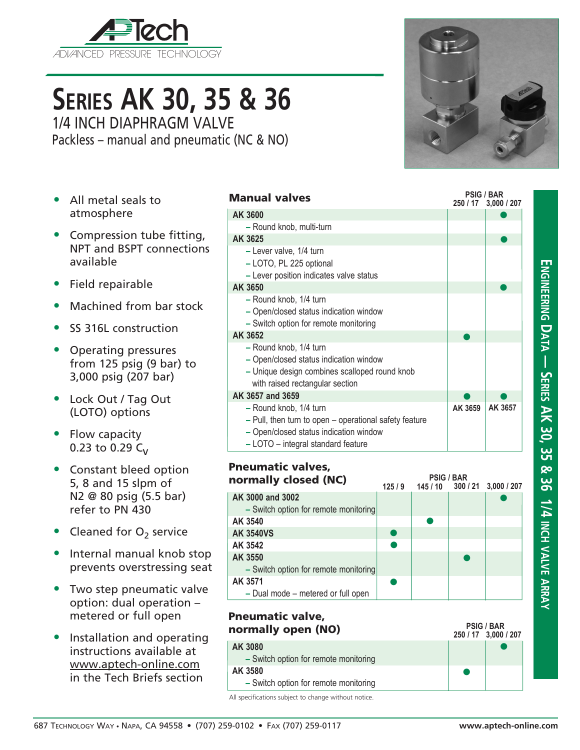

# **Series AK 30, 35 & 36** 1/4 INCH DIAPHRAGM VALVE

Packless – manual and pneumatic (NC & NO)

- All metal seals to atmosphere
- Compression tube fitting, NPT and BSPT connections available
- Field repairable
- Machined from bar stock
- SS 316L construction
- Operating pressures from 125 psig (9 bar) to 3,000 psig (207 bar)
- Lock Out / Tag Out (LOTO) options
- Flow capacity 0.23 to 0.29  $C_{V}$
- Constant bleed option 5, 8 and 15 slpm of N2 @ 80 psig (5.5 bar) refer to PN 430
- Cleaned for  $O<sub>2</sub>$  service
- Internal manual knob stop prevents overstressing seat
- Two step pneumatic valve option: dual operation – metered or full open
- Installation and operating instructions available at www.aptech-online.com in the Tech Briefs section

| Manual valves                                                                                             | <b>PSIG / BAR</b><br>250 / 17 | 3,000 / 207 |
|-----------------------------------------------------------------------------------------------------------|-------------------------------|-------------|
| AK 3600                                                                                                   |                               |             |
| - Round knob, multi-turn                                                                                  |                               |             |
| AK 3625                                                                                                   |                               |             |
| - Lever valve, 1/4 turn<br>- LOTO, PL 225 optional<br>- Lever position indicates valve status             |                               |             |
| AK 3650                                                                                                   |                               |             |
| - Round knob, 1/4 turn<br>- Open/closed status indication window<br>- Switch option for remote monitoring |                               |             |
| AK 3652                                                                                                   |                               |             |
| - Round knob, 1/4 turn<br>$\sim$ Onen/closed status indication window                                     |                               |             |

- $\bullet$ **–** Open/closed status indication window **–** Unique design combines scalloped round knob with raised rectangular section **AK 3657 and 3659 –** Round knob, 1/4 turn **AK 3659 AK 3657**  $\bullet$ 
	- **–** Pull, then turn to open operational safety feature
	- **–** Open/closed status indication window
	- **–** LOTO integral standard feature

#### Pneumatic valves, normally closed (NC)

| normally closed (NC)                  | <b>PSIG / BAR</b><br>300 / 21 3,000 / 207<br>145/10<br>125/9 |  |  |  |  |
|---------------------------------------|--------------------------------------------------------------|--|--|--|--|
| AK 3000 and 3002                      |                                                              |  |  |  |  |
| - Switch option for remote monitoring |                                                              |  |  |  |  |
| AK 3540                               |                                                              |  |  |  |  |
| <b>AK 3540VS</b>                      |                                                              |  |  |  |  |
| AK 3542                               |                                                              |  |  |  |  |
| AK 3550                               |                                                              |  |  |  |  |
| - Switch option for remote monitoring |                                                              |  |  |  |  |
| AK 3571                               |                                                              |  |  |  |  |
| - Dual mode - metered or full open    |                                                              |  |  |  |  |

| Pneumatic valve,<br>normally open (NO) | <b>PSIG / BAR</b><br>250 / 17 3,000 / 207 |
|----------------------------------------|-------------------------------------------|
| AK 3080                                |                                           |
| - Switch option for remote monitoring  |                                           |
| AK 3580                                |                                           |
| - Switch option for remote monitoring  |                                           |
|                                        |                                           |

All specifications subject to change without notice.

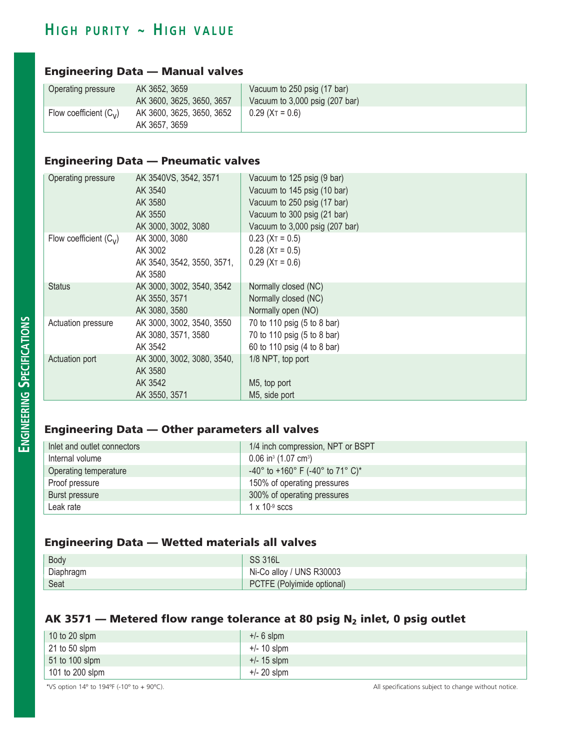# $H$  **igh purity ~ HIGH VALUE**

## Engineering Data — Manual valves

| Operating pressure       | AK 3652, 3659<br>AK 3600, 3625, 3650, 3657 | Vacuum to 250 psig (17 bar)<br>Vacuum to 3,000 psig (207 bar) |
|--------------------------|--------------------------------------------|---------------------------------------------------------------|
| Flow coefficient $(C_v)$ | AK 3600, 3625, 3650, 3652<br>AK 3657, 3659 | $0.29$ (X <sub>T</sub> = 0.6)                                 |

## Engineering Data — Pneumatic valves

| Operating pressure       | AK 3540VS, 3542, 3571      | Vacuum to 125 psig (9 bar)     |
|--------------------------|----------------------------|--------------------------------|
|                          | AK 3540                    | Vacuum to 145 psig (10 bar)    |
|                          | AK 3580                    | Vacuum to 250 psig (17 bar)    |
|                          | AK 3550                    | Vacuum to 300 psig (21 bar)    |
|                          | AK 3000, 3002, 3080        | Vacuum to 3,000 psig (207 bar) |
| Flow coefficient $(C_v)$ | AK 3000, 3080              | $0.23$ (X <sub>T</sub> = 0.5)  |
|                          | AK 3002                    | $0.28$ (X <sub>T</sub> = 0.5)  |
|                          | AK 3540, 3542, 3550, 3571, | $0.29$ (X <sub>T</sub> = 0.6)  |
|                          | AK 3580                    |                                |
| <b>Status</b>            | AK 3000, 3002, 3540, 3542  | Normally closed (NC)           |
|                          | AK 3550, 3571              | Normally closed (NC)           |
|                          | AK 3080, 3580              | Normally open (NO)             |
| Actuation pressure       | AK 3000, 3002, 3540, 3550  | 70 to 110 psig (5 to 8 bar)    |
|                          | AK 3080, 3571, 3580        | 70 to 110 psig (5 to 8 bar)    |
|                          | AK 3542                    | 60 to 110 psig (4 to 8 bar)    |
| Actuation port           | AK 3000, 3002, 3080, 3540, | 1/8 NPT, top port              |
|                          | AK 3580                    |                                |
|                          | AK 3542                    | M5, top port                   |
|                          | AK 3550, 3571              | M5, side port                  |

## Engineering Data — Other parameters all valves

| Inlet and outlet connectors | 1/4 inch compression, NPT or BSPT              |
|-----------------------------|------------------------------------------------|
| Internal volume             | $0.06$ in <sup>3</sup> (1.07 cm <sup>3</sup> ) |
| Operating temperature       | -40° to +160° F (-40° to 71° C)*               |
| Proof pressure              | 150% of operating pressures                    |
| Burst pressure              | 300% of operating pressures                    |
| Leak rate                   | $1 \times 10^{-9}$ sccs                        |

#### Engineering Data — Wetted materials all valves

| Body      | <b>SS 316L</b>             |
|-----------|----------------------------|
| Diaphragm | Ni-Co alloy / UNS R30003   |
| Seat      | PCTFE (Polyimide optional) |

#### AK 3571 – Metered flow range tolerance at 80 psig  $N_2$  inlet, 0 psig outlet

| 10 to 20 slpm   | $+/- 6$ slpm  |
|-----------------|---------------|
| 21 to 50 slpm   | +/- 10 slpm   |
| 51 to 100 slpm  | $+/- 15$ slpm |
| 101 to 200 slpm | $+/- 20$ slpm |

\*VS option 14º to 194ºF (-10º to + 90ºC). All specifications subject to change without notice.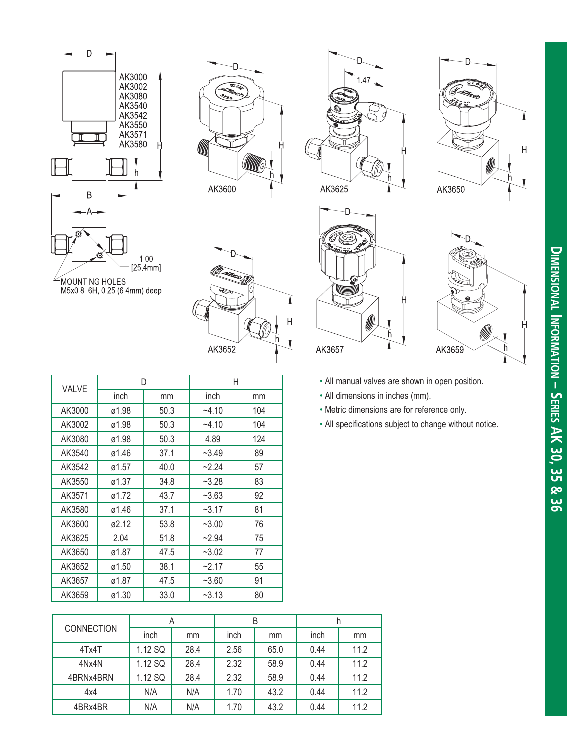



AK3652









- 
- 
- 
- 

|                   |       |  | D       |  | Η       |         |  |      |                                  |      |  | • All manual valves are shown in open position. |                                                        |  |  |  |  |
|-------------------|-------|--|---------|--|---------|---------|--|------|----------------------------------|------|--|-------------------------------------------------|--------------------------------------------------------|--|--|--|--|
| VALVE             | inch  |  | mm      |  | inch    |         |  | mm   | • All dimensions in inches (mm). |      |  |                                                 |                                                        |  |  |  |  |
| AK3000            | ø1.98 |  | 50.3    |  |         | $-4.10$ |  | 104  |                                  |      |  |                                                 | • Metric dimensions are for reference only.            |  |  |  |  |
| AK3002            | ø1.98 |  | 50.3    |  |         | $-4.10$ |  | 104  |                                  |      |  |                                                 | • All specifications subject to change without notice. |  |  |  |  |
| AK3080            | ø1.98 |  | 50.3    |  | 4.89    |         |  | 124  |                                  |      |  |                                                 |                                                        |  |  |  |  |
| AK3540            | ø1.46 |  | 37.1    |  | $-3.49$ |         |  | 89   |                                  |      |  |                                                 |                                                        |  |  |  |  |
| AK3542            | ø1.57 |  | 40.0    |  |         | $-2.24$ |  | 57   |                                  |      |  |                                                 |                                                        |  |  |  |  |
| AK3550            | ø1.37 |  | 34.8    |  |         | $-3.28$ |  | 83   |                                  |      |  |                                                 |                                                        |  |  |  |  |
| AK3571            | ø1.72 |  | 43.7    |  |         | $-3.63$ |  | 92   |                                  |      |  |                                                 |                                                        |  |  |  |  |
| AK3580            | ø1.46 |  | 37.1    |  |         | $-3.17$ |  | 81   |                                  |      |  |                                                 |                                                        |  |  |  |  |
| AK3600            | ø2.12 |  | 53.8    |  | $-3.00$ |         |  | 76   |                                  |      |  |                                                 |                                                        |  |  |  |  |
| AK3625            | 2.04  |  | 51.8    |  | $-2.94$ |         |  | 75   |                                  |      |  |                                                 |                                                        |  |  |  |  |
| AK3650            | ø1.87 |  | 47.5    |  |         | $-3.02$ |  | 77   |                                  |      |  |                                                 |                                                        |  |  |  |  |
| AK3652            | ø1.50 |  | 38.1    |  |         | $-2.17$ |  | 55   |                                  |      |  |                                                 |                                                        |  |  |  |  |
| AK3657            | ø1.87 |  | 47.5    |  |         | $-3.60$ |  | 91   |                                  |      |  |                                                 |                                                        |  |  |  |  |
| AK3659            | ø1.30 |  | 33.0    |  |         | $-3.13$ |  | 80   |                                  |      |  |                                                 |                                                        |  |  |  |  |
|                   |       |  |         |  |         |         |  |      |                                  |      |  |                                                 |                                                        |  |  |  |  |
| <b>CONNECTION</b> |       |  | A       |  |         |         |  |      |                                  | B    |  |                                                 | h                                                      |  |  |  |  |
|                   |       |  | inch    |  | mm      | inch    |  | mm   |                                  | inch |  | mm                                              |                                                        |  |  |  |  |
|                   | 4Tx4T |  | 1.12 SQ |  | 28.4    | 2.56    |  | 65.0 |                                  | 0.44 |  | 11.2                                            |                                                        |  |  |  |  |
| 4Nx4N             |       |  | 1.12 SQ |  | 28.4    | 2.32    |  | 58.9 |                                  | 0.44 |  | 11.2                                            |                                                        |  |  |  |  |
| 4BRNx4BRN         |       |  | 1.12 SQ |  | 28.4    | 2.32    |  | 58.9 |                                  | 0.44 |  | 11.2                                            |                                                        |  |  |  |  |
| 4x4               |       |  | N/A     |  | N/A     | 1.70    |  | 43.2 |                                  | 0.44 |  | 11.2                                            |                                                        |  |  |  |  |
| 4BRx4BR           |       |  | N/A     |  | N/A     | 1.70    |  | 43.2 |                                  | 0.44 |  | 11.2                                            |                                                        |  |  |  |  |

|                   | A       |      |      | B    |      |      |  |
|-------------------|---------|------|------|------|------|------|--|
| <b>CONNECTION</b> | inch    | mm   | inch | mm   | inch | mm   |  |
| 4Tx4T             | 1.12 SQ | 28.4 | 2.56 | 65.0 | 0.44 | 11.2 |  |
| 4Nx4N             | 1.12 SQ | 28.4 | 2.32 | 58.9 | 0.44 | 11.2 |  |
| 4BRNx4BRN         | 1.12 SQ | 28.4 | 2.32 | 58.9 | 0.44 | 11.2 |  |
| 4x4               | N/A     | N/A  | 1.70 | 43.2 | 0.44 | 11.2 |  |
| 4BRx4BR           | N/A     | N/A  | 1.70 | 43.2 | 0.44 | 11.2 |  |